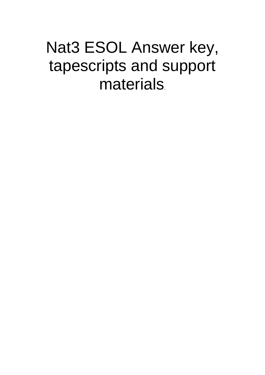# Nat3 ESOL Answer key, tapescripts and support materials.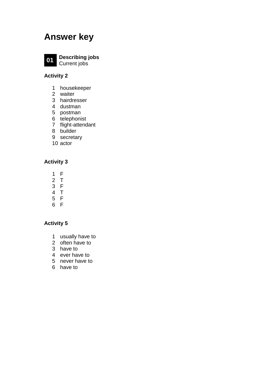## **Answer key**



 **Describing jobs** Current jobs

#### **Activity 2**

- housekeeper
- waiter
- hairdresser
- dustman
- postman
- telephonist
- flight-attendant
- builder
- secretary
- actor

### **Activity 3**

- F
- T
- F
- T
- F
- F

- usually have to
- often have to
- have to
- ever have to
- never have to
- have to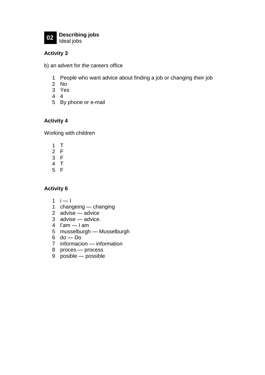

#### **Activity 3**

b) an advert for the careers office

- People who want advice about finding a job or changing their job
- No
- Yes
- 4
- By phone or e-mail

#### **Activity 4**

Working with children

- T
- F
- F
- T
- F

- $i 1$
- changeing changing
- advise advice
- advise advice.
- I'am I am
- musselburgh Musselburgh
- do Do
- informacion information
- proces process
- posible possible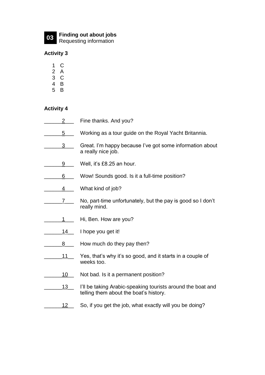

# **03 Finding out about jobs** Requesting information

#### **Activity 3**

- 1 C
- $\begin{array}{cc} 2 & A \\ 3 & C \end{array}$
- 3 C
- 4 B
- 5 B

#### **Activity 4**

2\_\_\_\_\_ Fine thanks. And you? 5 Working as a tour guide on the Royal Yacht Britannia. 3 Great. I'm happy because I've got some information about a really nice job. 9 Well, it's £8.25 an hour. \_\_\_\_\_\_6\_\_\_ Wow! Sounds good. Is it a full-time position? 4 What kind of job? \_\_\_\_\_\_7\_\_\_ No, part-time unfortunately, but the pay is good so I don't really mind. 1\_\_\_\_\_ Hi, Ben. How are you? 14 | I hope you get it! 8\_\_\_\_\_\_ How much do they pay then? 11\_\_\_\_ Yes, that's why it's so good, and it starts in a couple of weeks too. \_\_\_\_\_\_10\_\_ Not bad. Is it a permanent position? 13\_ I'll be taking Arabic-speaking tourists around the boat and telling them about the boat's history. \_\_\_\_\_\_12\_\_ So, if you get the job, what exactly will you be doing?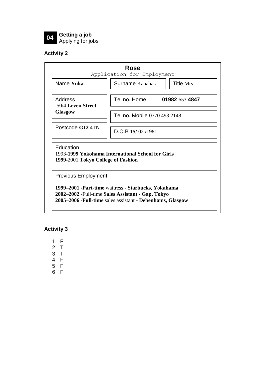

**04 Getting a job** Applying for jobs

### **Activity 2**

|                                                 | Application for Employment                                                                                 |                              |
|-------------------------------------------------|------------------------------------------------------------------------------------------------------------|------------------------------|
| Name Yuka                                       | Surname Kanahara                                                                                           | <b>Title Mrs</b>             |
| Address<br>50/4 Leven Street<br><b>Glasgow</b>  | Tel no. Home                                                                                               | 01982 653 4847               |
|                                                 |                                                                                                            | Tel no. Mobile 0770 493 2148 |
| Postcode G12 4TN                                | $D.O.B$ 15/02/1981                                                                                         |                              |
| Education<br>1999-2001 Tokyo College of Fashion | 1993-1999 Yokohama International School for Girls                                                          |                              |
| <b>Previous Employment</b>                      |                                                                                                            |                              |
|                                                 |                                                                                                            |                              |
|                                                 |                                                                                                            |                              |
|                                                 | 1999-2001 - Part-time waitress - Starbucks, Yokahama<br>2002–2002 - Full-time Sales Assistant - Gap, Tokyo |                              |

**Activity 3**

1 F

2 T

3 T

4 F

- 5 F
- 6 F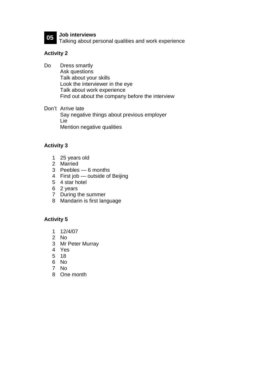

**05 Job interviews** Talking about personal qualities and work experience

#### **Activity 2**

Do Dress smartly Ask questions Talk about your skills Look the interviewer in the eye Talk about work experience Find out about the company before the interview

Don't Arrive late Say negative things about previous employer Lie Mention negative qualities

#### **Activity 3**

- 1 25 years old
- 2 Married
- 3 Peebles 6 months
- 4 First job outside of Beijing
- 5 4 star hotel
- 6 2 years
- 7 During the summer
- 8 Mandarin is first language

- 1 12/4/07
- 2 No
- 3 Mr Peter Murray
- 4 Yes
- 5 18
- 6 No
- 7 No
- 8 One month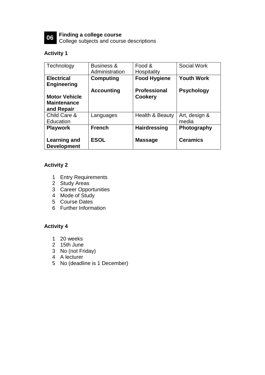

**06 Finding a college course** College subjects and course descriptions

#### **Activity 1**

| Technology                                               | <b>Business &amp;</b><br>Administration | Food &<br>Hospitality | <b>Social Work</b>     |
|----------------------------------------------------------|-----------------------------------------|-----------------------|------------------------|
| <b>Electrical</b><br><b>Engineering</b>                  | Computing                               | <b>Food Hygiene</b>   | <b>Youth Work</b>      |
|                                                          | <b>Accounting</b>                       | <b>Professional</b>   | <b>Psychology</b>      |
| <b>Motor Vehicle</b><br><b>Maintenance</b><br>and Repair |                                         | <b>Cookery</b>        |                        |
| Child Care &<br>Education                                | Languages                               | Health & Beauty       | Art, design &<br>media |
| <b>Playwork</b>                                          | <b>French</b>                           | <b>Hairdressing</b>   | Photography            |
| Learning and<br><b>Development</b>                       | <b>ESOL</b>                             | <b>Massage</b>        | <b>Ceramics</b>        |

#### **Activity 2**

- 1 Entry Requirements
- 2 Study Areas
- 3 Career Opportunities
- 4 Mode of Study
- 5 Course Dates
- 6 Further Information

- 1 20 weeks
- 2 15th June
- 3 No (not Friday)
- 4 A lecturer
- 5 No (deadline is 1 December)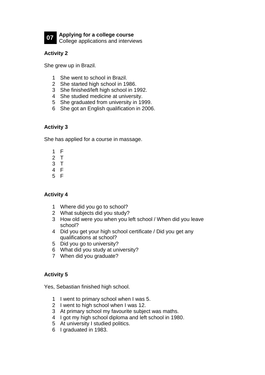

**Applying for a college course** College applications and interviews

#### **Activity 2**

She grew up in Brazil.

- She went to school in Brazil.
- She started high school in 1986.
- She finished/left high school in 1992.
- She studied medicine at university.
- She graduated from university in 1999.
- She got an English qualification in 2006.

#### **Activity 3**

She has applied for a course in massage.

- F
- T
- T
- F
- F

#### **Activity 4**

- Where did you go to school?
- What subjects did you study?
- How old were you when you left school / When did you leave school?
- Did you get your high school certificate / Did you get any qualifications at school?
- Did you go to university?
- What did you study at university?
- When did you graduate?

#### **Activity 5**

Yes, Sebastian finished high school.

- I went to primary school when I was 5.
- I went to high school when I was 12.
- At primary school my favourite subject was maths.
- I got my high school diploma and left school in 1980.
- At university I studied politics.
- I graduated in 1983.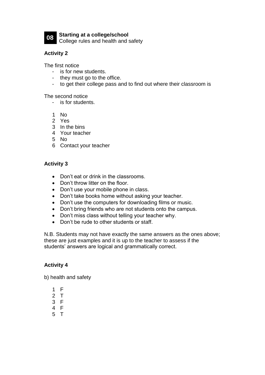

**08 Starting at a college/school** College rules and health and safety

#### **Activity 2**

The first notice

- is for new students.
- they must go to the office.
- to get their college pass and to find out where their classroom is

The second notice

- is for students.
- 1 No
- 2 Yes
- 3 In the bins
- 4 Your teacher
- 5 No
- 6 Contact your teacher

#### **Activity 3**

- Don't eat or drink in the classrooms.
- Don't throw litter on the floor.
- Don't use your mobile phone in class.
- Don't take books home without asking your teacher.
- Don't use the computers for downloading films or music.
- Don't bring friends who are not students onto the campus.
- Don't miss class without telling your teacher why.
- Don't be rude to other students or staff.

N.B. Students may not have exactly the same answers as the ones above; these are just examples and it is up to the teacher to assess if the students' answers are logical and grammatically correct.

#### **Activity 4**

b) health and safety

- 1 F
- 2 T
- 3 F
- 4 F
- 5 T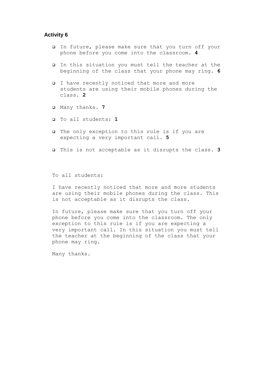#### **Activity 6**

- ❑ In future, please make sure that you turn off your phone before you come into the classroom. **4**
- ❑ In this situation you must tell the teacher at the beginning of the class that your phone may ring. **6**
- ❑ I have recently noticed that more and more students are using their mobile phones during the class. **2**
- ❑ Many thanks. **7**
- ❑ To all students: **1**
- ❑ The only exception to this rule is if you are expecting a very important call. **5**
- ❑ This is not acceptable as it disrupts the class. **3**

To all students:

I have recently noticed that more and more students are using their mobile phones during the class. This is not acceptable as it disrupts the class.

In future, please make sure that you turn off your phone before you come into the classroom. The only exception to this rule is if you are expecting a very important call. In this situation you must tell the teacher at the beginning of the class that your phone may ring.

Many thanks.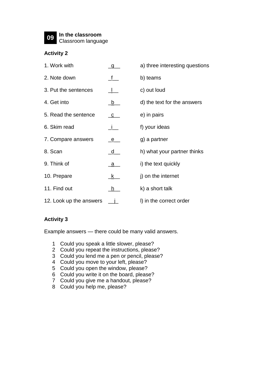**09 In the classroom** Classroom language

#### **Activity 2**

| 1. Work with            |             | a) three interesting questions |
|-------------------------|-------------|--------------------------------|
| 2. Note down            |             | b) teams                       |
| 3. Put the sentences    |             | c) out loud                    |
| 4. Get into             | <u>_b_</u>  | d) the text for the answers    |
| 5. Read the sentence    | <u>_C__</u> | e) in pairs                    |
| 6. Skim read            |             | f) your ideas                  |
| 7. Compare answers      | <u>_e_</u>  | g) a partner                   |
| 8. Scan                 | <u>_d_</u>  | h) what your partner thinks    |
| 9. Think of             | <u>_a_</u>  | i) the text quickly            |
| 10. Prepare             | <u>k_</u>   | j) on the internet             |
| 11. Find out            | h.          | k) a short talk                |
| 12. Look up the answers |             | I) in the correct order        |

#### **Activity 3**

Example answers — there could be many valid answers.

- 1 Could you speak a little slower, please?
- 2 Could you repeat the instructions, please?
- 3 Could you lend me a pen or pencil, please?
- 4 Could you move to your left, please?
- 5 Could you open the window, please?
- 6 Could you write it on the board, please?
- 7 Could you give me a handout, please?
- 8 Could you help me, please?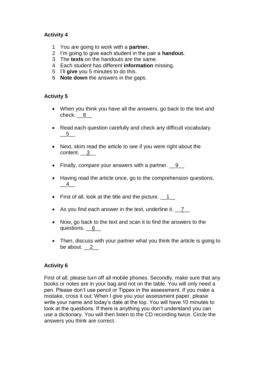#### **Activity 4**

- 1 You are going to work with a **partner.**
- 2 I'm going to give each student in the pair a **handout.**
- 3 The **texts** on the handouts are the same.
- 4 Each student has different **information** missing.
- 5 I'll **give** you 5 minutes to do this.
- 6 **Note down** the answers in the gaps.

#### **Activity 5**

- When you think you have all the answers, go back to the text and check. 8
- Read each question carefully and check any difficult vocabulary.  $-5$
- Next, skim read the article to see if you were right about the content.  $\frac{3}{2}$
- Finally, compare your answers with a partner.  $\underline{9}$
- Having read the article once, go to the comprehension questions.  $-4$
- First of all, look at the title and the picture.  $\underline{\hspace{1cm}} 1$
- As you find each answer in the text, underline it. 7
- Now, go back to the text and scan it to find the answers to the questions. 6
- Then, discuss with your partner what you think the article is going to be about.  $2$

#### **Activity 6**

First of all, please turn off all mobile phones. Secondly, make sure that any books or notes are in your bag and not on the table. You will only need a pen. Please don't use pencil or Tippex in the assessment. If you make a mistake, cross it out. When I give you your assessment paper, please write your name and today's date at the top. You will have 10 minutes to look at the questions. If there is anything you don't understand you can use a dictionary. You will then listen to the CD recording twice. Circle the answers you think are correct.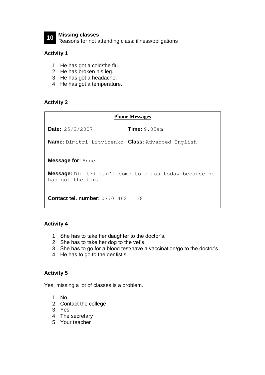

**10 Missing classes** Reasons for not attending class: illness/obligations

#### **Activity 1**

- 1 He has got a cold/the flu.
- 2 He has broken his leg.
- 3 He has got a headache.
- 4 He has got a temperature.

#### **Activity 2**

| <b>Phone Messages</b>                                                            |  |  |
|----------------------------------------------------------------------------------|--|--|
| <b>Time:</b> $9.05$ am<br><b>Date:</b> $25/2/2007$                               |  |  |
| <b>Name:</b> Dimitri Litvinenko <b>Class:</b> Advanced English                   |  |  |
| <b>Message for: Anne</b>                                                         |  |  |
| <b>Message:</b> Dimitri can't come to class today because he<br>has got the flu. |  |  |
| <b>Contact tel. number: 0770 462 1138</b>                                        |  |  |

#### **Activity 4**

- 1 She has to take her daughter to the doctor's.
- 2 She has to take her dog to the vet's.
- 3 She has to go for a blood test/have a vaccination/go to the doctor's.
- 4 He has to go to the dentist's.

#### **Activity 5**

Yes, missing a lot of classes is a problem.

- 1 No
- 2 Contact the college
- 3 Yes
- 4 The secretary
- 5 Your teacher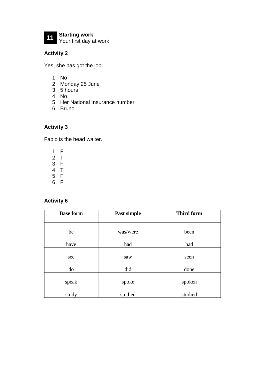

# **11 Starting work** Your first day at work

### **Activity 2**

Yes, she has got the job.

- 1 No
- 2 Monday 25 June
- 3 5 hours
- 4 No
- 5 Her National Insurance number
- 6 Bruno

### **Activity 3**

Fabio is the head waiter.

- 1 F
- 2 T
- 3 F
- 4 T
- 5 F
- 6 F

| <b>Base form</b> | Past simple | <b>Third form</b> |
|------------------|-------------|-------------------|
|                  |             |                   |
| be               | was/were    | been              |
| have             | had         | had               |
| see              | saw         | seen              |
| do               | did         | done              |
| speak            | spoke       | spoken            |
| study            | studied     | studied           |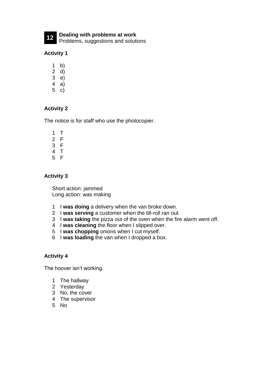**Dealing with problems at work** Problems, suggestions and solutions

#### **Activity 1**

- b)
- d)
- e)
- a)
- c)

### **Activity 2**

The notice is for staff who use the photocopier.

 T F F T F

#### **Activity 3**

Short action: jammed Long action: was making

- I **was doing** a delivery when the van broke down.
- I **was serving** a customer when the till-roll ran out.
- I **was taking** the pizza out of the oven when the fire alarm went off.
- I **was cleaning** the floor when I slipped over.
- I **was chopping** onions when I cut myself.
- I **was loading** the van when I dropped a box.

#### **Activity 4**

The hoover isn't working.

- The hallway
- Yesterday
- No, the cover
- The supervisor
- No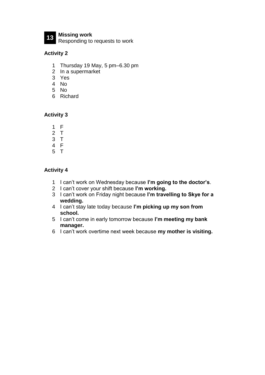

**Missing work** Responding to requests to work

#### **Activity 2**

- Thursday 19 May, 5 pm–6.30 pm
- In a supermarket
- Yes
- No
- No
- Richard

#### **Activity 3**

- F
- T
- T
- F
- T

- I can't work on Wednesday because **I'm going to the doctor's**.
- I can't cover your shift because **I'm working.**
- I can't work on Friday night because **I'm travelling to Skye for a wedding.**
- I can't stay late today because **I'm picking up my son from school.**
- I can't come in early tomorrow because **I'm meeting my bank manager.**
- I can't work overtime next week because **my mother is visiting.**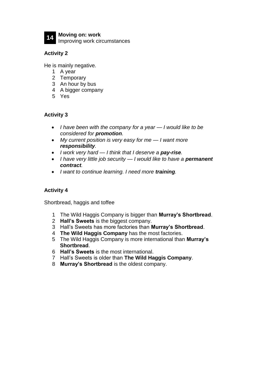

## **14 Moving on: work**

Improving work circumstances

#### **Activity 2**

He is mainly negative.

- 1 A year
- 2 Temporary
- 3 An hour by bus
- 4 A bigger company
- 5 Yes

#### **Activity 3**

- *I have been with the company for a year — I would like to be considered for promotion.*
- *My current position is very easy for me — I want more responsibility.*
- *I work very hard — I think that I deserve a pay-rise.*
- *I have very little job security I would like to have a permanent contract.*
- *I want to continue learning. I need more training.*

#### **Activity 4**

Shortbread, haggis and toffee

- 1 The Wild Haggis Company is bigger than **Murray's Shortbread**.
- 2 **Hall's Sweets** is the biggest company.
- 3 Hall's Sweets has more factories than **Murray's Shortbread**.
- 4 **The Wild Haggis Company** has the most factories.
- 5 The Wild Haggis Company is more international than **Murray's Shortbread**.
- 6 **Hall's Sweets** is the most international.
- 7 Hall's Sweets is older than **The Wild Haggis Company**.
- 8 **Murray's Shortbread** is the oldest company.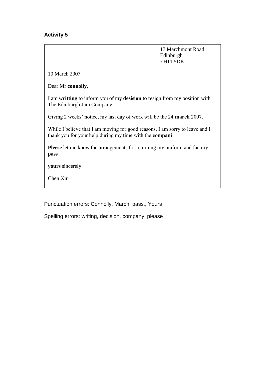#### **Activity 5**

17 Marchmont Road Edinburgh EH11 5DK

10 March 2007

Dear Mr **connolly**,

I am **writting** to inform you of my **desision** to resign from my position with The Edinburgh Jam Company.

Giving 2 weeks' notice, my last day of work will be the 24 **march** 2007.

While I believe that I am moving for good reasons, I am sorry to leave and I thank you for your help during my time with the **compani**.

**Pleese** let me know the arrangements for returning my uniform and factory **pass**

**yours** sincerely

Chen Xiu

Punctuation errors: Connolly, March, pass., Yours

Spelling errors: writing, decision, company, please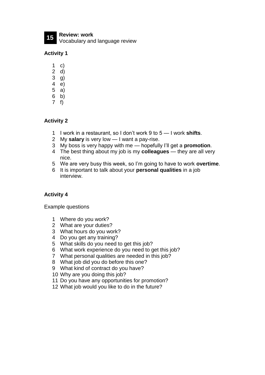**Review: work** Vocabulary and language review

#### **Activity 1**

- c)
- d)
- g)
- e) a)
- b)
- f)

#### **Activity 2**

- I work in a restaurant, so I don't work 9 to 5 I work **shifts**.
- My **salary** is very low I want a pay-rise.
- My boss is very happy with me hopefully I'll get a **promotion**.
- The best thing about my job is my **colleagues** they are all very nice.
- We are very busy this week, so I'm going to have to work **overtime**.
- It is important to talk about your **personal qualities** in a job interview.

#### **Activity 4**

Example questions

- Where do you work?
- What are your duties?
- What hours do you work?
- Do you get any training?
- What skills do you need to get this job?
- What work experience do you need to get this job?
- What personal qualities are needed in this job?
- What job did you do before this one?
- What kind of contract do you have?
- Why are you doing this job?
- Do you have any opportunities for promotion?
- What job would you like to do in the future?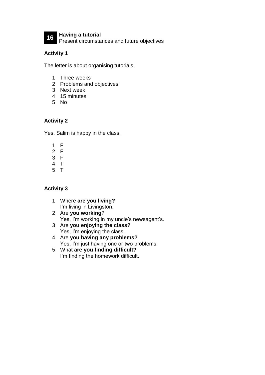

**Having a tutorial** Present circumstances and future objectives

#### **Activity 1**

The letter is about organising tutorials.

- Three weeks
- Problems and objectives
- Next week
- 15 minutes
- No

#### **Activity 2**

Yes, Salim is happy in the class.

- F
- F
- F
- T
- T

- Where **are you living?** I'm living in Livingston.
- Are **you working**? Yes, I'm working in my uncle's newsagent's.
- Are **you enjoying the class?** Yes, I'm enjoying the class.
- Are **you having any problems?** Yes, I'm just having one or two problems.
- What **are you finding difficult?** I'm finding the homework difficult.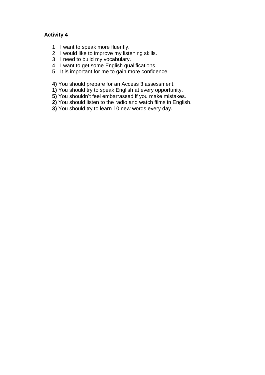#### **Activity 4**

- 1 I want to speak more fluently.
- 2 I would like to improve my listening skills.
- 3 I need to build my vocabulary.
- 4 I want to get some English qualifications.
- 5 It is important for me to gain more confidence.

**4)** You should prepare for an Access 3 assessment.

- **1)** You should try to speak English at every opportunity.
- **5)** You shouldn't feel embarrassed if you make mistakes.
- **2)** You should listen to the radio and watch films in English.
- **3)** You should try to learn 10 new words every day.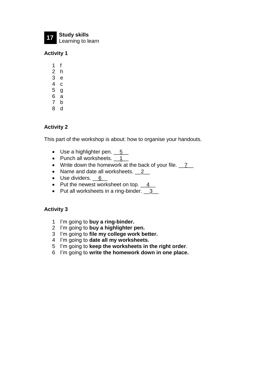**17 Study skills** Learning to learn

**Activity 1**

1 f 2 h 3 e 4 c 5 g 6 a

- 7 b
- 8 d

#### **Activity 2**

This part of the workshop is about: how to organise your handouts.

- Use a highlighter pen.  $\underline{\hspace{1cm}} 5$
- Punch all worksheets. 1
- Write down the homework at the back of your file. 7
- Name and date all worksheets. 2\_
- Use dividers. 6
- Put the newest worksheet on top.  $\underline{4}$
- Put all worksheets in a ring-binder.  $\frac{3}{2}$

- 1 I'm going to **buy a ring-binder.**
- 2 I'm going to **buy a highlighter pen.**
- 3 I'm going to **file my college work better.**
- 4 I'm going to **date all my worksheets.**
- 5 I'm going to **keep the worksheets in the right order**.
- 6 I'm going to **write the homework down in one place.**

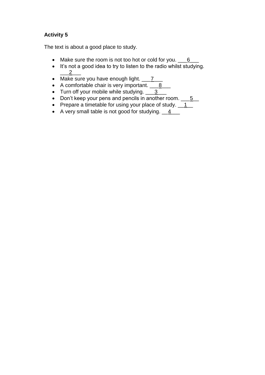#### **Activity 5**

The text is about a good place to study.

- Make sure the room is not too hot or cold for you.  $\underline{\hspace{1cm}}6$
- It's not a good idea to try to listen to the radio whilst studying.  $\frac{2}{2}$
- Make sure you have enough light.  $\frac{7}{2}$
- A comfortable chair is very important. 18
- Turn off your mobile while studying.  $\frac{3}{2}$
- Don't keep your pens and pencils in another room. \_\_\_5\_
- Prepare a timetable for using your place of study.  $1 \qquad 1$
- A very small table is not good for studying.  $4 \qquad 4$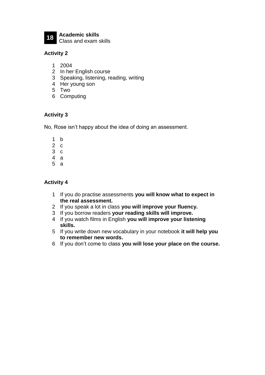**Academic skills** Class and exam skills

#### **Activity 2**

- 2004
- In her English course
- Speaking, listening, reading, writing
- Her young son
- Two
- Computing

#### **Activity 3**

No, Rose isn't happy about the idea of doing an assessment.

- b
- c
- c
- a
- a

- If you do practise assessments **you will know what to expect in the real assessment.**
- If you speak a lot in class **you will improve your fluency.**
- If you borrow readers **your reading skills will improve.**
- If you watch films in English **you will improve your listening skills.**
- If you write down new vocabulary in your notebook **it will help you to remember new words.**
- If you don't come to class **you will lose your place on the course.**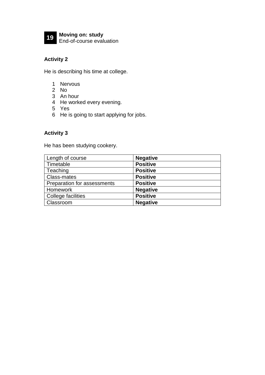

#### **Activity 2**

He is describing his time at college.

- 1 Nervous
- 2 No
- 3 An hour
- 4 He worked every evening.
- 5 Yes
- 6 He is going to start applying for jobs.

#### **Activity 3**

He has been studying cookery.

| Length of course            | <b>Negative</b> |
|-----------------------------|-----------------|
| Timetable                   | <b>Positive</b> |
| Teaching                    | <b>Positive</b> |
| <b>Class-mates</b>          | <b>Positive</b> |
| Preparation for assessments | <b>Positive</b> |
| Homework                    | <b>Negative</b> |
| College facilities          | <b>Positive</b> |
| Classroom                   | <b>Negative</b> |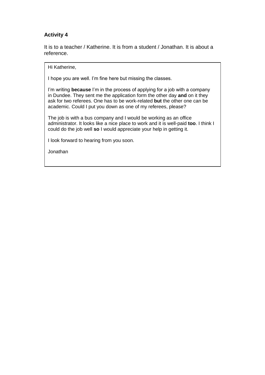#### **Activity 4**

It is to a teacher / Katherine. It is from a student / Jonathan. It is about a reference.

Hi Katherine,

I hope you are well. I'm fine here but missing the classes.

I'm writing **because** I'm in the process of applying for a job with a company in Dundee. They sent me the application form the other day **and** on it they ask for two referees. One has to be work-related **but** the other one can be academic. Could I put you down as one of my referees, please?

The job is with a bus company and I would be working as an office administrator. It looks like a nice place to work and it is well-paid **too**. I think I could do the job well **so** I would appreciate your help in getting it.

I look forward to hearing from you soon.

**Jonathan**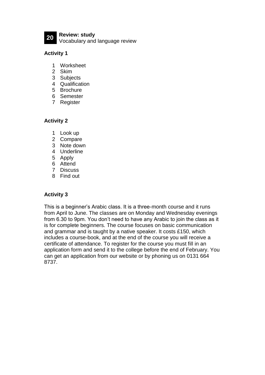**20 Review: study** Vocabulary and language review

#### **Activity 1**

- 1 Worksheet
- 2 Skim
- 3 Subjects
- 4 Qualification
- 5 Brochure
- 6 Semester
- 7 Register

#### **Activity 2**

- 1 Look up
- 2 Compare
- 3 Note down
- 4 Underline
- 5 Apply
- 6 Attend
- 7 Discuss
- 8 Find out

#### **Activity 3**

This is a beginner's Arabic class. It is a three-month course and it runs from April to June. The classes are on Monday and Wednesday evenings from 6.30 to 9pm. You don't need to have any Arabic to join the class as it is for complete beginners. The course focuses on basic communication and grammar and is taught by a native speaker. It costs £150, which includes a course-book, and at the end of the course you will receive a certificate of attendance. To register for the course you must fill in an application form and send it to the college before the end of February. You can get an application from our website or by phoning us on 0131 664 8737.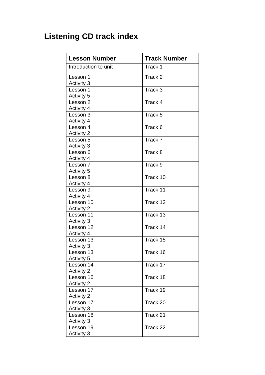## **Listening CD track index**

| <b>Lesson Number</b>           | <b>Track Number</b> |
|--------------------------------|---------------------|
| Introduction to unit           | Track 1             |
| Lesson 1                       | Track 2             |
| <b>Activity 3</b>              |                     |
| Lesson 1                       | Track 3             |
| <b>Activity 5</b>              |                     |
| Lesson 2                       | Track 4             |
| <b>Activity 4</b>              |                     |
| Lesson 3                       | Track 5             |
| <b>Activity 4</b>              |                     |
| Lesson 4                       | Track 6             |
| <b>Activity 2</b>              |                     |
| Lesson 5                       | Track 7             |
| <b>Activity 3</b>              |                     |
| Lesson 6                       | Track 8             |
| <b>Activity 4</b>              |                     |
| Lesson 7                       | Track 9             |
| Activity 5                     |                     |
| Lesson 8                       | Track 10            |
| <b>Activity 4</b>              |                     |
| Lesson 9                       | Track 11            |
| <b>Activity 4</b><br>Lesson 10 | Track 12            |
| <b>Activity 2</b>              |                     |
| Lesson 11                      | Track 13            |
| Activity 3                     |                     |
| Lesson 12                      | Track 14            |
| <b>Activity 4</b>              |                     |
| Lesson 13                      | Track 15            |
| <b>Activity 3</b>              |                     |
| Lesson 13                      | Track 16            |
| Activity 5                     |                     |
| Lesson 14                      | Track 17            |
| <b>Activity 2</b>              |                     |
| Lesson 16                      | Track 18            |
| <b>Activity 2</b>              |                     |
| Lesson 17                      | Track 19            |
| <b>Activity 2</b>              |                     |
| Lesson 17                      | Track 20            |
| <b>Activity 3</b>              |                     |
| Lesson 18                      | Track 21            |
| <b>Activity 3</b>              |                     |
| Lesson 19                      | Track 22            |
| <b>Activity 3</b>              |                     |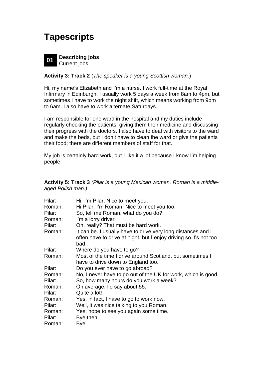## **Tapescripts**



#### **Activity 3: Track 2** (*The speaker is a young Scottish woman.*)

Hi, my name's Elizabeth and I'm a nurse. I work full-time at the Royal Infirmary in Edinburgh. I usually work 5 days a week from 8am to 4pm, but sometimes I have to work the night shift, which means working from 9pm to 6am. I also have to work alternate Saturdays.

I am responsible for one ward in the hospital and my duties include regularly checking the patients, giving them their medicine and discussing their progress with the doctors. I also have to deal with visitors to the ward and make the beds, but I don't have to clean the ward or give the patients their food; there are different members of staff for that.

My job is certainly hard work, but I like it a lot because I know I'm helping people.

**Activity 5: Track 3** *(Pilar is a young Mexican woman. Roman is a middleaged Polish man.)*

| Pilar: | Hi, I'm Pilar. Nice to meet you.                                  |
|--------|-------------------------------------------------------------------|
| Roman: | Hi Pilar. I'm Roman. Nice to meet you too.                        |
| Pilar: | So, tell me Roman, what do you do?                                |
| Roman: | I'm a lorry driver.                                               |
| Pilar: | Oh, really? That must be hard work.                               |
| Roman: | It can be. I usually have to drive very long distances and I      |
|        | often have to drive at night, but I enjoy driving so it's not too |
|        | bad.                                                              |
| Pilar: | Where do you have to go?                                          |
| Roman: | Most of the time I drive around Scotland, but sometimes I         |
|        | have to drive down to England too.                                |
| Pilar: | Do you ever have to go abroad?                                    |
| Roman: | No, I never have to go out of the UK for work, which is good.     |
| Pilar: | So, how many hours do you work a week?                            |
| Roman: | On average, I'd say about 55.                                     |
| Pilar: | Quite a lot!                                                      |
| Roman: | Yes, in fact, I have to go to work now.                           |
| Pilar: | Well, it was nice talking to you Roman.                           |
| Roman: | Yes, hope to see you again some time.                             |
| Pilar: | Bye then.                                                         |
| Roman: | Bye.                                                              |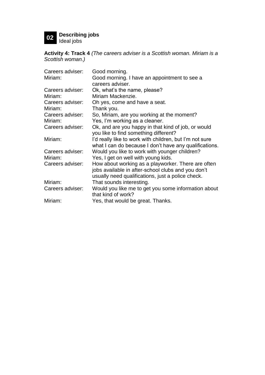# **02 Describing jobs** Ideal jobs

**Activity 4: Track 4** *(The careers adviser is a Scottish woman. Miriam is a Scottish woman.)*

| Careers adviser: | Good morning.                                           |
|------------------|---------------------------------------------------------|
| Miriam:          | Good morning. I have an appointment to see a            |
|                  | careers adviser.                                        |
| Careers adviser: | Ok, what's the name, please?                            |
| Miriam:          | Miriam Mackenzie.                                       |
| Careers adviser: | Oh yes, come and have a seat.                           |
| Miriam:          | Thank you.                                              |
| Careers adviser: | So, Miriam, are you working at the moment?              |
| Miriam:          | Yes, I'm working as a cleaner.                          |
| Careers adviser: | Ok, and are you happy in that kind of job, or would     |
|                  | you like to find something different?                   |
| Miriam:          | I'd really like to work with children, but I'm not sure |
|                  | what I can do because I don't have any qualifications.  |
| Careers adviser: | Would you like to work with younger children?           |
| Miriam:          | Yes, I get on well with young kids.                     |
| Careers adviser: | How about working as a playworker. There are often      |
|                  | jobs available in after-school clubs and you don't      |
|                  | usually need qualifications, just a police check.       |
| Miriam:          | That sounds interesting.                                |
| Careers adviser: | Would you like me to get you some information about     |
|                  | that kind of work?                                      |
| Miriam:          | Yes, that would be great. Thanks.                       |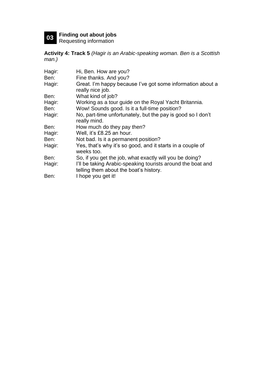**03 Finding out about jobs** Requesting information

**Activity 4: Track 5** *(Hagir is an Arabic-speaking woman. Ben is a Scottish man.)*

| Hagir: | Hi, Ben. How are you?                                                                                 |
|--------|-------------------------------------------------------------------------------------------------------|
| Ben:   | Fine thanks. And you?                                                                                 |
| Hagir: | Great. I'm happy because I've got some information about a<br>really nice job.                        |
| Ben:   | What kind of job?                                                                                     |
| Hagir: | Working as a tour guide on the Royal Yacht Britannia.                                                 |
| Ben:   | Wow! Sounds good. Is it a full-time position?                                                         |
| Hagir: | No, part-time unfortunately, but the pay is good so I don't<br>really mind.                           |
| Ben:   | How much do they pay then?                                                                            |
| Hagir: | Well, it's £8.25 an hour.                                                                             |
| Ben:   | Not bad. Is it a permanent position?                                                                  |
| Hagir: | Yes, that's why it's so good, and it starts in a couple of<br>weeks too.                              |
| Ben:   | So, if you get the job, what exactly will you be doing?                                               |
| Hagir: | I'll be taking Arabic-speaking tourists around the boat and<br>telling them about the boat's history. |
| Ben:   | I hope you get it!                                                                                    |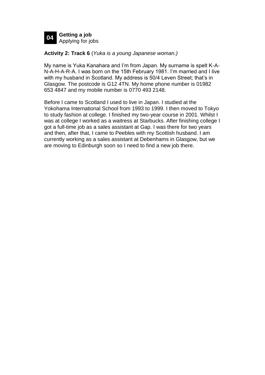

#### **Activity 2: Track 6** (*Yuka is a young Japanese woman.)*

My name is Yuka Kanahara and I'm from Japan. My surname is spelt K-A-N-A-H-A-R-A. I was born on the 15th February 1981. I'm married and I live with my husband in Scotland. My address is 50/4 Leven Street; that's in Glasgow. The postcode is G12 4TN. My home phone number is 01982 653 4847 and my mobile number is 0770 493 2148.

Before I came to Scotland I used to live in Japan. I studied at the Yokohama International School from 1993 to 1999. I then moved to Tokyo to study fashion at college. I finished my two-year course in 2001. Whilst I was at college I worked as a waitress at Starbucks. After finishing college I got a full-time job as a sales assistant at Gap. I was there for two years and then, after that, I came to Peebles with my Scottish husband. I am currently working as a sales assistant at Debenhams in Glasgow, but we are moving to Edinburgh soon so I need to find a new job there.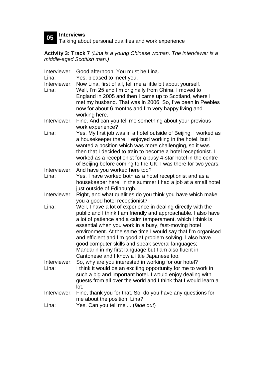**05 Interviews** Talking about personal qualities and work experience

**Activity 3: Track 7** *(Lina is a young Chinese woman. The interviewer is a middle-aged Scottish man.)*

| Interviewer: | Good afternoon. You must be Lina.                                       |
|--------------|-------------------------------------------------------------------------|
| Lina:        | Yes, pleased to meet you.                                               |
| Interviewer: | Now Lina, first of all, tell me a little bit about yourself.            |
| Lina:        | Well, I'm 25 and I'm originally from China. I moved to                  |
|              | England in 2005 and then I came up to Scotland, where I                 |
|              | met my husband. That was in 2006. So, I've been in Peebles              |
|              | now for about 6 months and I'm very happy living and                    |
|              | working here.                                                           |
| Interviewer: | Fine. And can you tell me something about your previous                 |
|              | work experience?                                                        |
| Lina:        | Yes. My first job was in a hotel outside of Beijing; I worked as        |
|              | a housekeeper there. I enjoyed working in the hotel, but I              |
|              | wanted a position which was more challenging, so it was                 |
|              | then that I decided to train to become a hotel receptionist. I          |
|              | worked as a receptionist for a busy 4-star hotel in the centre          |
|              | of Beijing before coming to the UK; I was there for two years.          |
| Interviewer: | And have you worked here too?                                           |
| Lina:        | Yes. I have worked both as a hotel receptionist and as a                |
|              | housekeeper here. In the summer I had a job at a small hotel            |
|              | just outside of Edinburgh.                                              |
| Interviewer: | Right, and what qualities do you think you have which make              |
|              | you a good hotel receptionist?                                          |
| Lina:        | Well, I have a lot of experience in dealing directly with the           |
|              | public and I think I am friendly and approachable. I also have          |
|              | a lot of patience and a calm temperament, which I think is              |
|              | essential when you work in a busy, fast-moving hotel                    |
|              | environment. At the same time I would say that I'm organised            |
|              | and efficient and I'm good at problem solving. I also have              |
|              | good computer skills and speak several languages;                       |
|              | Mandarin in my first language but I am also fluent in                   |
|              | Cantonese and I know a little Japanese too.                             |
| Interviewer: | So, why are you interested in working for our hotel?                    |
| Lina:        | I think it would be an exciting opportunity for me to work in           |
|              | such a big and important hotel. I would enjoy dealing with              |
|              | guests from all over the world and I think that I would learn a<br>lot. |
| Interviewer: | Fine, thank you for that. So, do you have any questions for             |
|              | me about the position, Lina?                                            |
| Lina:        | Yes. Can you tell me  (fade out)                                        |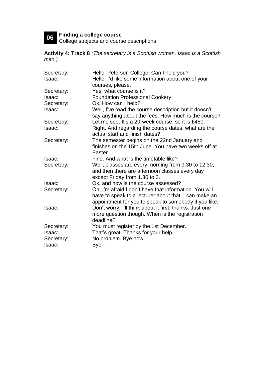# **06 Finding a college course** College subjects and course descriptions

**Activity 4: Track 8** *(The secretary is a Scottish woman. Isaac is a Scottish man.)*

| Secretary: | Hello, Peterson College. Can I help you?                 |
|------------|----------------------------------------------------------|
| Isaac:     | Hello. I'd like some information about one of your       |
|            | courses, please.                                         |
| Secretary: | Yes, what course is it?                                  |
| Isaac:     | Foundation Professional Cookery.                         |
| Secretary: | Ok. How can I help?                                      |
| Isaac:     | Well, I've read the course description but it doesn't    |
|            | say anything about the fees. How much is the course?     |
| Secretary: | Let me see. It's a 20-week course, so it is £450.        |
| Isaac:     | Right. And regarding the course dates, what are the      |
|            | actual start and finish dates?                           |
| Secretary: | The semester begins on the 22nd January and              |
|            | finishes on the 15th June. You have two weeks off at     |
|            | Easter.                                                  |
| Isaac:     | Fine. And what is the timetable like?                    |
| Secretary: | Well, classes are every morning from 9.30 to 12.30,      |
|            | and then there are afternoon classes every day           |
|            | except Friday from 1.30 to 3.                            |
| Isaac:     | Ok, and how is the course assessed?                      |
| Secretary: | Oh, I'm afraid I don't have that information. You will   |
|            | have to speak to a lecturer about that. I can make an    |
|            | appointment for you to speak to somebody if you like.    |
| Isaac:     | Don't worry. I'll think about it first, thanks. Just one |
|            | more question though. When is the registration           |
|            | deadline?                                                |
| Secretary: | You must register by the 1st December.                   |
| Isaac:     | That's great. Thanks for your help.                      |
| Secretary: | No problem. Bye now.                                     |
| Isaac:     | Bye.                                                     |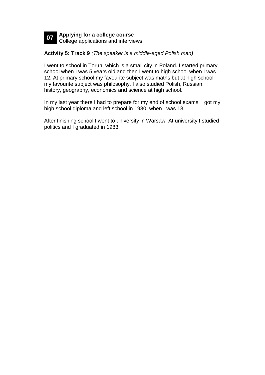

#### **Activity 5: Track 9** *(The speaker is a middle-aged Polish man)*

I went to school in Torun, which is a small city in Poland. I started primary school when I was 5 years old and then I went to high school when I was 12. At primary school my favourite subject was maths but at high school my favourite subject was philosophy. I also studied Polish, Russian, history, geography, economics and science at high school.

In my last year there I had to prepare for my end of school exams. I got my high school diploma and left school in 1980, when I was 18.

After finishing school I went to university in Warsaw. At university I studied politics and I graduated in 1983.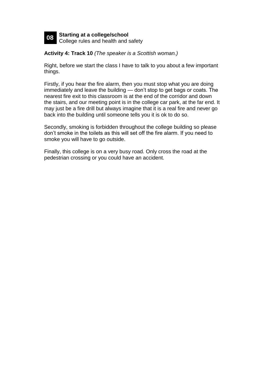

**Activity 4: Track 10** *(The speaker is a Scottish woman.)*

Right, before we start the class I have to talk to you about a few important things.

Firstly, if you hear the fire alarm, then you must stop what you are doing immediately and leave the building — don't stop to get bags or coats. The nearest fire exit to this classroom is at the end of the corridor and down the stairs, and our meeting point is in the college car park, at the far end. It may just be a fire drill but always imagine that it is a real fire and never go back into the building until someone tells you it is ok to do so.

Secondly, smoking is forbidden throughout the college building so please don't smoke in the toilets as this will set off the fire alarm. If you need to smoke you will have to go outside.

Finally, this college is on a very busy road. Only cross the road at the pedestrian crossing or you could have an accident.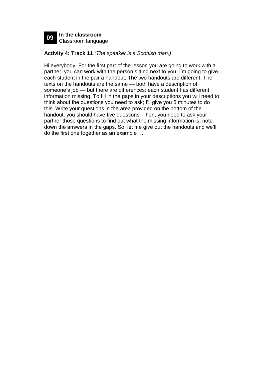

#### **Activity 4: Track 11** *(The speaker is a Scottish man.)*

Hi everybody. For the first part of the lesson you are going to work with a partner; you can work with the person sitting next to you. I'm going to give each student in the pair a handout. The two handouts are different. The texts on the handouts are the same — both have a description of someone's job — but there are differences: each student has different information missing. To fill in the gaps in your descriptions you will need to think about the questions you need to ask; I'll give you 5 minutes to do this. Write your questions in the area provided on the bottom of the handout; you should have five questions. Then, you need to ask your partner those questions to find out what the missing information is; note down the answers in the gaps. So, let me give out the handouts and we'll do the first one together as an example …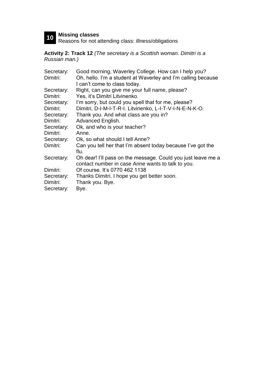**10 Missing classes** Reasons for not attending class: illness/obligations

**Activity 2: Track 12** *(The secretary is a Scottish woman. Dimitri is a Russian man.)*

| Secretary: | Good morning, Waverley College. How can I help you?          |
|------------|--------------------------------------------------------------|
| Dimitri:   | Oh, hello. I'm a student at Waverley and I'm calling because |
|            | I can't come to class today.                                 |
| Secretary: | Right, can you give me your full name, please?               |
| Dimitri:   | Yes, it's Dimitri Litvinenko.                                |
| Secretary: | I'm sorry, but could you spell that for me, please?          |
| Dimitri:   | Dimitri, D-I-M-I-T-R-I. Litvinenko, L-I-T-V-I-N-E-N-K-O.     |
| Secretary: | Thank you. And what class are you in?                        |
| Dimitri:   | Advanced English.                                            |
| Secretary: | Ok, and who is your teacher?                                 |
| Dimitri:   | Anne.                                                        |
| Secretary: | Ok, so what should I tell Anne?                              |
| Dimitri:   | Can you tell her that I'm absent today because I've got the  |
|            | flu.                                                         |
| Secretary: | Oh dear! I'll pass on the message. Could you just leave me a |
|            | contact number in case Anne wants to talk to you.            |
| Dimitri:   | Of course. It's 0770 462 1138                                |
| Secretary: | Thanks Dimitri. I hope you get better soon.                  |
| Dimitri:   | Thank you. Bye.                                              |
| Secretary: | Bye.                                                         |
|            |                                                              |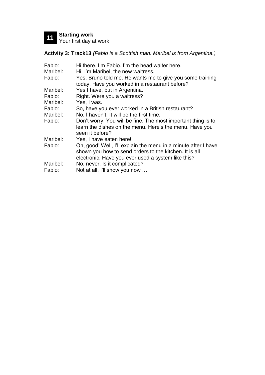

**Activity 3: Track13** *(Fabio is a Scottish man. Maribel is from Argentina.)*

| Fabio:   | Hi there. I'm Fabio. I'm the head waiter here.                                                                                                                                 |
|----------|--------------------------------------------------------------------------------------------------------------------------------------------------------------------------------|
| Maribel: | Hi, I'm Maribel, the new waitress.                                                                                                                                             |
| Fabio:   | Yes, Bruno told me. He wants me to give you some training<br>today. Have you worked in a restaurant before?                                                                    |
| Maribel: | Yes I have, but in Argentina.                                                                                                                                                  |
| Fabio:   | Right. Were you a waitress?                                                                                                                                                    |
| Maribel: | Yes, I was.                                                                                                                                                                    |
| Fabio:   | So, have you ever worked in a British restaurant?                                                                                                                              |
| Maribel: | No, I haven't. It will be the first time.                                                                                                                                      |
| Fabio:   | Don't worry. You will be fine. The most important thing is to<br>learn the dishes on the menu. Here's the menu. Have you<br>seen it before?                                    |
| Maribel: | Yes, I have eaten here!                                                                                                                                                        |
| Fabio:   | Oh, good! Well, I'll explain the menu in a minute after I have<br>shown you how to send orders to the kitchen. It is all<br>electronic. Have you ever used a system like this? |
| Maribel: | No, never. Is it complicated?                                                                                                                                                  |
| Fabio:   | Not at all. I'll show you now                                                                                                                                                  |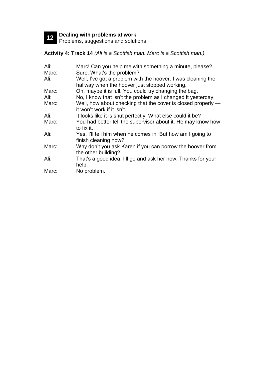**12 Dealing with problems at work** Problems, suggestions and solutions

**Activity 4: Track 14** *(Ali is a Scottish man. Marc is a Scottish man.)*

| Ali:  | Marc! Can you help me with something a minute, please?                                                        |
|-------|---------------------------------------------------------------------------------------------------------------|
| Marc: | Sure. What's the problem?                                                                                     |
| Ali:  | Well, I've got a problem with the hoover. I was cleaning the<br>hallway when the hoover just stopped working. |
| Marc: | Oh, maybe it is full. You could try changing the bag.                                                         |
| Ali:  | No, I know that isn't the problem as I changed it yesterday.                                                  |
| Marc: | Well, how about checking that the cover is closed properly —<br>it won't work if it isn't.                    |
| Ali:  | It looks like it is shut perfectly. What else could it be?                                                    |
| Marc: | You had better tell the supervisor about it. He may know how<br>to fix it.                                    |
| Ali:  | Yes, I'll tell him when he comes in. But how am I going to<br>finish cleaning now?                            |
| Marc: | Why don't you ask Karen if you can borrow the hoover from<br>the other building?                              |
| Ali:  | That's a good idea. I'll go and ask her now. Thanks for your<br>help.                                         |
| Marc: | No problem.                                                                                                   |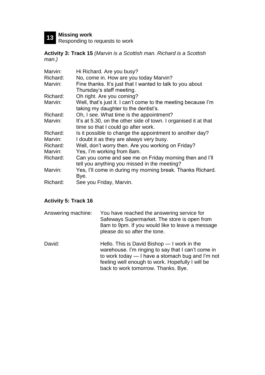**13 Missing work** Responding to requests to work

**Activity 3: Track 15** *(Marvin is a Scottish man. Richard is a Scottish man.)*

| Marvin:  | Hi Richard. Are you busy?                                       |
|----------|-----------------------------------------------------------------|
| Richard: | No, come in. How are you today Marvin?                          |
| Marvin:  | Fine thanks. It's just that I wanted to talk to you about       |
|          | Thursday's staff meeting.                                       |
| Richard: | Oh right. Are you coming?                                       |
| Marvin:  | Well, that's just it. I can't come to the meeting because I'm   |
|          | taking my daughter to the dentist's.                            |
| Richard: | Oh, I see. What time is the appointment?                        |
| Marvin:  | It's at 5.30, on the other side of town. I organised it at that |
|          | time so that I could go after work.                             |
| Richard: | Is it possible to change the appointment to another day?        |
| Marvin:  | I doubt it as they are always very busy.                        |
| Richard: | Well, don't worry then. Are you working on Friday?              |
| Marvin:  | Yes, I'm working from 8am.                                      |
| Richard: | Can you come and see me on Friday morning then and I'll         |
|          | tell you anything you missed in the meeting?                    |
| Marvin:  | Yes, I'll come in during my morning break. Thanks Richard.      |
|          | Bye.                                                            |
| Richard: | See you Friday, Marvin.                                         |

#### **Activity 5: Track 16**

| Answering machine: | You have reached the answering service for       |
|--------------------|--------------------------------------------------|
|                    | Safeways Supermarket. The store is open from     |
|                    | 8am to 9pm. If you would like to leave a message |
|                    | please do so after the tone.                     |

David: Hello. This is David Bishop — I work in the warehouse. I'm ringing to say that I can't come in to work today — I have a stomach bug and I'm not feeling well enough to work. Hopefully I will be back to work tomorrow. Thanks. Bye.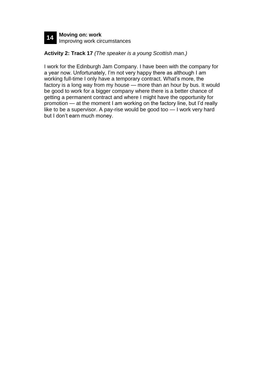

#### **Activity 2: Track 17** *(The speaker is a young Scottish man.)*

I work for the Edinburgh Jam Company. I have been with the company for a year now. Unfortunately, I'm not very happy there as although I am working full-time I only have a temporary contract. What's more, the factory is a long way from my house — more than an hour by bus. It would be good to work for a bigger company where there is a better chance of getting a permanent contract and where I might have the opportunity for promotion — at the moment I am working on the factory line, but I'd really like to be a supervisor. A pay-rise would be good too — I work very hard but I don't earn much money.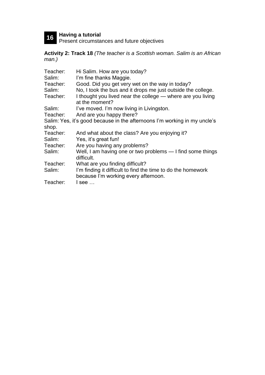**16 Having a tutorial** Present circumstances and future objectives

**Activity 2: Track 18** *(The teacher is a Scottish woman. Salim is an African man.)*

| Teacher: | Hi Salim. How are you today?                                              |
|----------|---------------------------------------------------------------------------|
| Salim:   | I'm fine thanks Maggie.                                                   |
| Teacher: | Good. Did you get very wet on the way in today?                           |
| Salim:   | No, I took the bus and it drops me just outside the college.              |
| Teacher: | I thought you lived near the college — where are you living               |
|          | at the moment?                                                            |
| Salim:   | I've moved. I'm now living in Livingston.                                 |
| Teacher: | And are you happy there?                                                  |
|          | Salim: Yes, it's good because in the afternoons I'm working in my uncle's |
| shop.    |                                                                           |
| Teacher: | And what about the class? Are you enjoying it?                            |
| Salim:   | Yes, it's great fun!                                                      |
| Teacher: | Are you having any problems?                                              |
| Salim:   | Well, I am having one or two problems - I find some things                |
|          | difficult.                                                                |
| Teacher: | What are you finding difficult?                                           |
| Salim:   | I'm finding it difficult to find the time to do the homework              |
|          | because I'm working every afternoon.                                      |
| Teacher: | l see …                                                                   |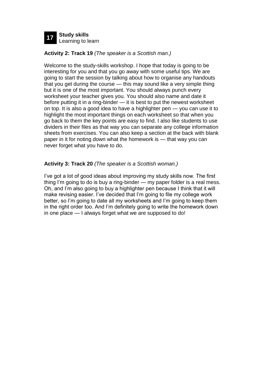

#### **Activity 2: Track 19** *(The speaker is a Scottish man.)*

Welcome to the study-skills workshop. I hope that today is going to be interesting for you and that you go away with some useful tips. We are going to start the session by talking about how to organise any handouts that you get during the course — this may sound like a very simple thing but it is one of the most important. You should always punch every worksheet your teacher gives you. You should also name and date it before putting it in a ring-binder — it is best to put the newest worksheet on top. It is also a good idea to have a highlighter pen — you can use it to highlight the most important things on each worksheet so that when you go back to them the key points are easy to find. I also like students to use dividers in their files as that way you can separate any college information sheets from exercises. You can also keep a section at the back with blank paper in it for noting down what the homework is — that way you can never forget what you have to do.

#### **Activity 3: Track 20** *(The speaker is a Scottish woman.)*

I've got a lot of good ideas about improving my study skills now. The first thing I'm going to do is buy a ring-binder — my paper folder is a real mess. Oh, and I'm also going to buy a highlighter pen because I think that it will make revising easier. I've decided that I'm going to file my college work better, so I'm going to date all my worksheets and I'm going to keep them in the right order too. And I'm definitely going to write the homework down in one place — I always forget what we are supposed to do!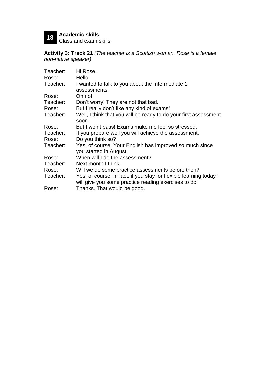# **18 Academic skills** Class and exam skills

**Activity 3: Track 21** *(The teacher is a Scottish woman. Rose is a female non-native speaker)*

| Teacher: | Hi Rose.                                                           |  |  |  |
|----------|--------------------------------------------------------------------|--|--|--|
| Rose:    | Hello.                                                             |  |  |  |
| Teacher: | I wanted to talk to you about the Intermediate 1                   |  |  |  |
|          | assessments.                                                       |  |  |  |
| Rose:    | Oh no!                                                             |  |  |  |
| Teacher: | Don't worry! They are not that bad.                                |  |  |  |
| Rose:    | But I really don't like any kind of exams!                         |  |  |  |
| Teacher: | Well, I think that you will be ready to do your first assessment   |  |  |  |
|          | soon.                                                              |  |  |  |
| Rose:    | But I won't pass! Exams make me feel so stressed.                  |  |  |  |
| Teacher: | If you prepare well you will achieve the assessment.               |  |  |  |
| Rose:    | Do you think so?                                                   |  |  |  |
| Teacher: | Yes, of course. Your English has improved so much since            |  |  |  |
|          | you started in August.                                             |  |  |  |
| Rose:    | When will I do the assessment?                                     |  |  |  |
| Teacher: | Next month I think.                                                |  |  |  |
| Rose:    | Will we do some practice assessments before then?                  |  |  |  |
| Teacher: | Yes, of course. In fact, if you stay for flexible learning today I |  |  |  |
|          | will give you some practice reading exercises to do.               |  |  |  |
| Rose:    | Thanks. That would be good.                                        |  |  |  |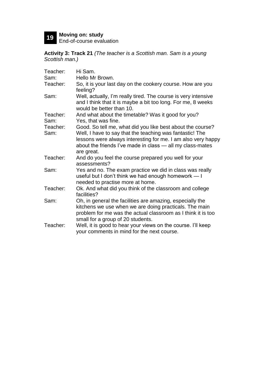# **19 Moving on: study** End-of-course evaluation

**Activity 3: Track 21** *(The teacher is a Scottish man. Sam is a young Scottish man.)*

| Teacher:         | Hi Sam.                                                                                                                                                                                                                                                           |
|------------------|-------------------------------------------------------------------------------------------------------------------------------------------------------------------------------------------------------------------------------------------------------------------|
| Sam:             | Hello Mr Brown.                                                                                                                                                                                                                                                   |
| Teacher:         | So, it is your last day on the cookery course. How are you<br>feeling?                                                                                                                                                                                            |
| Sam:             | Well, actually, I'm really tired. The course is very intensive<br>and I think that it is maybe a bit too long. For me, 8 weeks<br>would be better than 10.                                                                                                        |
| Teacher:<br>Sam: | And what about the timetable? Was it good for you?<br>Yes, that was fine.                                                                                                                                                                                         |
| Teacher:<br>Sam: | Good. So tell me, what did you like best about the course?<br>Well, I have to say that the teaching was fantastic! The<br>lessons were always interesting for me. I am also very happy<br>about the friends I've made in class - all my class-mates<br>are great. |
| Teacher:         | And do you feel the course prepared you well for your<br>assessments?                                                                                                                                                                                             |
| Sam:             | Yes and no. The exam practice we did in class was really<br>useful but I don't think we had enough homework - I<br>needed to practise more at home.                                                                                                               |
| Teacher:         | Ok. And what did you think of the classroom and college<br>facilities?                                                                                                                                                                                            |
| Sam:             | Oh, in general the facilities are amazing, especially the<br>kitchens we use when we are doing practicals. The main<br>problem for me was the actual classroom as I think it is too<br>small for a group of 20 students.                                          |
| Teacher:         | Well, it is good to hear your views on the course. I'll keep<br>your comments in mind for the next course.                                                                                                                                                        |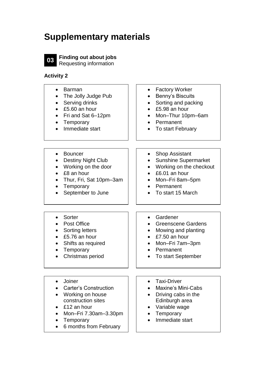## **Supplementary materials**



**03 Finding out about jobs** Requesting information

| <b>Barman</b><br>The Jolly Judge Pub<br>Serving drinks<br>£5.60 an hour<br>Fri and Sat 6-12pm<br>Temporary<br>Immediate start                                   | <b>Factory Worker</b><br>$\bullet$<br><b>Benny's Biscuits</b><br>Sorting and packing<br>£5.98 an hour<br>Mon-Thur 10pm-6am<br>Permanent<br>To start February |
|-----------------------------------------------------------------------------------------------------------------------------------------------------------------|--------------------------------------------------------------------------------------------------------------------------------------------------------------|
| <b>Bouncer</b><br><b>Destiny Night Club</b><br>Working on the door<br>£8 an hour<br>Thur, Fri, Sat 10pm-3am<br>Temporary<br>September to June                   | <b>Shop Assistant</b><br><b>Sunshine Supermarket</b><br>Working on the checkout<br>£6.01 an hour<br>Mon-Fri 8am-5pm<br>Permanent<br>To start 15 March        |
| Sorter<br><b>Post Office</b><br>Sorting letters<br>£5.76 an hour<br>Shifts as required<br>Temporary<br>Christmas period                                         | Gardener<br>$\bullet$<br><b>Greenscene Gardens</b><br>Mowing and planting<br>£7.50 an hour<br>Mon-Fri 7am-3pm<br>Permanent<br><b>To start September</b>      |
| Joiner<br><b>Carter's Construction</b><br>Working on house<br>construction sites<br>£12 an hour<br>Mon-Fri 7.30am-3.30pm<br>Temporary<br>6 months from February | <b>Taxi-Driver</b><br><b>Maxine's Mini-Cabs</b><br>Driving cabs in the<br>Edinburgh area<br>Variable wage<br>Temporary<br>Immediate start                    |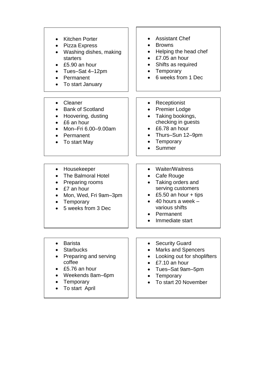- Kitchen Porter
- Pizza Express
- Washing dishes, making starters
- £5.90 an hour
- Tues–Sat 4–12pm
- Permanent
- To start January
- Cleaner
- Bank of Scotland
- Hoovering, dusting
- £6 an hour
- Mon–Fri 6.00–9.00am
- Permanent
- To start May
- Assistant Chef
- **Browns**
- Helping the head chef
- £7.05 an hour
- Shifts as required
- Temporary
- 6 weeks from 1 Dec
- Receptionist
- Premier Lodge
- Taking bookings, checking in guests
- £6.78 an hour
- Thurs–Sun 12–9pm
	- **Temporary**
- Summer

- Housekeeper
- The Balmoral Hotel
- Preparing rooms
- £7 an hour
- Mon, Wed, Fri 9am–3pm
- Temporary
- 5 weeks from 3 Dec
- Waiter/Waitress
- Cafe Rouge
- Taking orders and serving customers
- £5.50 an hour  $+$  tips
- $\bullet$  40 hours a week various shifts
- Permanent
- Immediate start

- Barista
- Starbucks
- Preparing and serving coffee
- £5.76 an hour
- Weekends 8am–6pm
- Temporary
- To start April
- Security Guard
- Marks and Spencers
- Looking out for shoplifters
- £7.10 an hour
- Tues–Sat 9am–5pm
- Temporary
- To start 20 November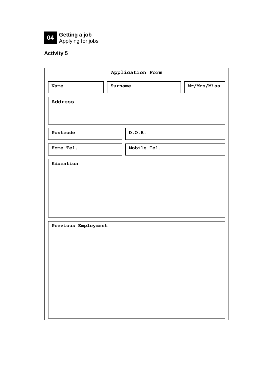

| Application Form    |         |             |             |
|---------------------|---------|-------------|-------------|
| <b>Name</b>         | Surname |             | Mr/Mrs/Miss |
| Address             |         |             |             |
|                     |         |             |             |
| Postcode            |         | D.O.B.      |             |
| Home Tel.           |         | Mobile Tel. |             |
| Education           |         |             |             |
|                     |         |             |             |
|                     |         |             |             |
|                     |         |             |             |
| Previous Employment |         |             |             |
|                     |         |             |             |
|                     |         |             |             |
|                     |         |             |             |
|                     |         |             |             |
|                     |         |             |             |
|                     |         |             |             |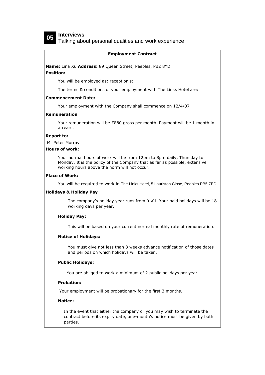## **05 Interviews**

Talking about personal qualities and work experience

#### **Employment Contract**

**Name:** Lina Xu **Address:** 89 Queen Street, Peebles, PB2 8YD

#### **Position:**

You will be employed as: receptionist

The terms & conditions of your employment with The Links Hotel are:

#### **Commencement Date:**

Your employment with the Company shall commence on 12/4/07

#### **Remuneration**

Your remuneration will be £880 gross per month. Payment will be 1 month in arrears.

#### **Report to:**

Mr Peter Murray

#### **Hours of work:**

Your normal hours of work will be from 12pm to 8pm daily, Thursday to Monday. It is the policy of the Company that as far as possible, extensive working hours above the norm will not occur.

#### **Place of Work:**

You will be required to work in The Links Hotel, 5 Lauriston Close, Peebles PB5 7ED

#### **Holidays & Holiday Pay**

The company's holiday year runs from 01/01. Your paid holidays will be 18 working days per year.

#### **Holiday Pay:**

This will be based on your current normal monthly rate of remuneration.

#### **Notice of Holidays:**

You must give not less than 8 weeks advance notification of those dates and periods on which holidays will be taken.

#### **Public Holidays:**

You are obliged to work a minimum of 2 public holidays per year.

#### **Probation:**

Your employment will be probationary for the first 3 months.

#### **Notice:**

In the event that either the company or you may wish to terminate the contract before its expiry date, one-month's notice must be given by both parties.